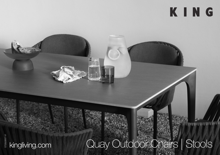## KING

**( 高 ) ( 高 ) ( 高 ) ( 高 ) ( 高 )** 

## DT2022057-V DT2022057-V1

## kingliving.com Quay Outdoor Chairs | Stools